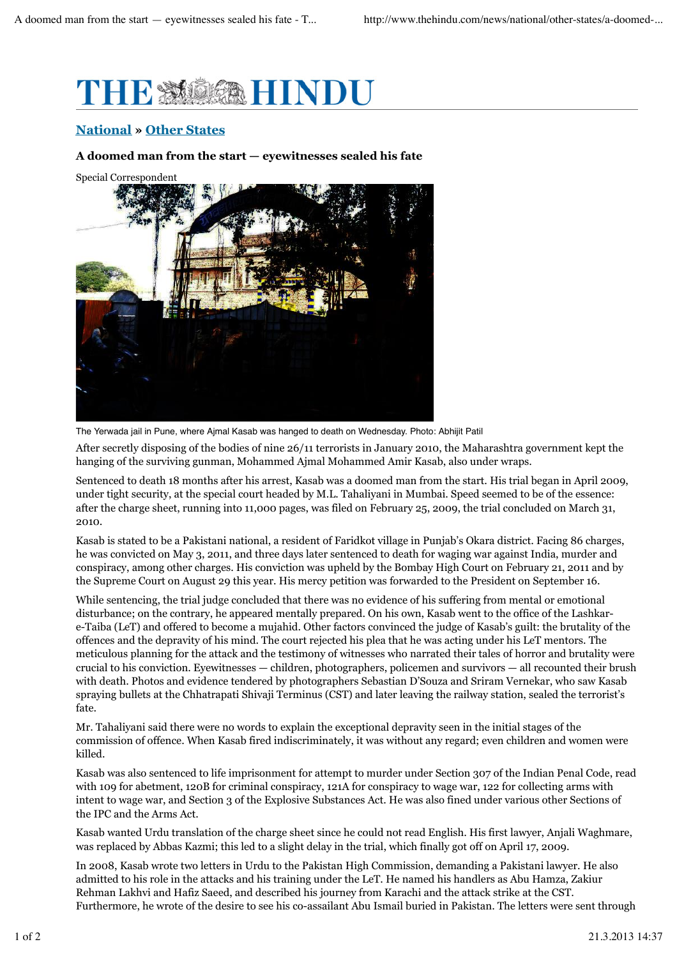

## **National » Other States**

## **A doomed man from the start — eyewitnesses sealed his fate**

Special Correspondent



The Yerwada jail in Pune, where Ajmal Kasab was hanged to death on Wednesday. Photo: Abhijit Patil

After secretly disposing of the bodies of nine 26/11 terrorists in January 2010, the Maharashtra government kept the hanging of the surviving gunman, Mohammed Ajmal Mohammed Amir Kasab, also under wraps.

Sentenced to death 18 months after his arrest, Kasab was a doomed man from the start. His trial began in April 2009, under tight security, at the special court headed by M.L. Tahaliyani in Mumbai. Speed seemed to be of the essence: after the charge sheet, running into 11,000 pages, was filed on February 25, 2009, the trial concluded on March 31, 2010.

Kasab is stated to be a Pakistani national, a resident of Faridkot village in Punjab's Okara district. Facing 86 charges, he was convicted on May 3, 2011, and three days later sentenced to death for waging war against India, murder and conspiracy, among other charges. His conviction was upheld by the Bombay High Court on February 21, 2011 and by the Supreme Court on August 29 this year. His mercy petition was forwarded to the President on September 16.

While sentencing, the trial judge concluded that there was no evidence of his suffering from mental or emotional disturbance; on the contrary, he appeared mentally prepared. On his own, Kasab went to the office of the Lashkare-Taiba (LeT) and offered to become a mujahid. Other factors convinced the judge of Kasab's guilt: the brutality of the offences and the depravity of his mind. The court rejected his plea that he was acting under his LeT mentors. The meticulous planning for the attack and the testimony of witnesses who narrated their tales of horror and brutality were crucial to his conviction. Eyewitnesses — children, photographers, policemen and survivors — all recounted their brush with death. Photos and evidence tendered by photographers Sebastian D'Souza and Sriram Vernekar, who saw Kasab spraying bullets at the Chhatrapati Shivaji Terminus (CST) and later leaving the railway station, sealed the terrorist's fate.

Mr. Tahaliyani said there were no words to explain the exceptional depravity seen in the initial stages of the commission of offence. When Kasab fired indiscriminately, it was without any regard; even children and women were killed.

Kasab was also sentenced to life imprisonment for attempt to murder under Section 307 of the Indian Penal Code, read with 109 for abetment, 120B for criminal conspiracy, 121A for conspiracy to wage war, 122 for collecting arms with intent to wage war, and Section 3 of the Explosive Substances Act. He was also fined under various other Sections of the IPC and the Arms Act.

Kasab wanted Urdu translation of the charge sheet since he could not read English. His first lawyer, Anjali Waghmare, was replaced by Abbas Kazmi; this led to a slight delay in the trial, which finally got off on April 17, 2009.

In 2008, Kasab wrote two letters in Urdu to the Pakistan High Commission, demanding a Pakistani lawyer. He also admitted to his role in the attacks and his training under the LeT. He named his handlers as Abu Hamza, Zakiur Rehman Lakhvi and Hafiz Saeed, and described his journey from Karachi and the attack strike at the CST. Furthermore, he wrote of the desire to see his co-assailant Abu Ismail buried in Pakistan. The letters were sent through